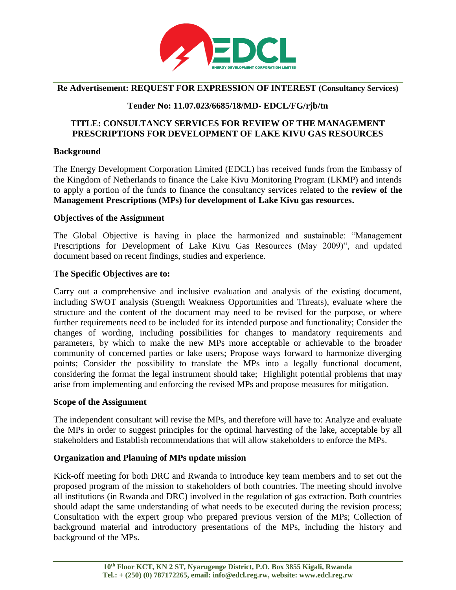

### **Re Advertisement: REQUEST FOR EXPRESSION OF INTEREST (Consultancy Services)**

# **Tender No: 11.07.023/6685/18/MD- EDCL/FG/rjb/tn**

## **TITLE: CONSULTANCY SERVICES FOR REVIEW OF THE MANAGEMENT PRESCRIPTIONS FOR DEVELOPMENT OF LAKE KIVU GAS RESOURCES**

#### **Background**

The Energy Development Corporation Limited (EDCL) has received funds from the Embassy of the Kingdom of Netherlands to finance the Lake Kivu Monitoring Program (LKMP) and intends to apply a portion of the funds to finance the consultancy services related to the **review of the Management Prescriptions (MPs) for development of Lake Kivu gas resources.**

#### **Objectives of the Assignment**

The Global Objective is having in place the harmonized and sustainable: "Management Prescriptions for Development of Lake Kivu Gas Resources (May 2009)", and updated document based on recent findings, studies and experience.

### **The Specific Objectives are to:**

Carry out a comprehensive and inclusive evaluation and analysis of the existing document, including SWOT analysis (Strength Weakness Opportunities and Threats), evaluate where the structure and the content of the document may need to be revised for the purpose, or where further requirements need to be included for its intended purpose and functionality; Consider the changes of wording, including possibilities for changes to mandatory requirements and parameters, by which to make the new MPs more acceptable or achievable to the broader community of concerned parties or lake users; Propose ways forward to harmonize diverging points; Consider the possibility to translate the MPs into a legally functional document, considering the format the legal instrument should take; Highlight potential problems that may arise from implementing and enforcing the revised MPs and propose measures for mitigation.

#### **Scope of the Assignment**

The independent consultant will revise the MPs, and therefore will have to: Analyze and evaluate the MPs in order to suggest principles for the optimal harvesting of the lake, acceptable by all stakeholders and Establish recommendations that will allow stakeholders to enforce the MPs.

#### **Organization and Planning of MPs update mission**

Kick-off meeting for both DRC and Rwanda to introduce key team members and to set out the proposed program of the mission to stakeholders of both countries. The meeting should involve all institutions (in Rwanda and DRC) involved in the regulation of gas extraction. Both countries should adapt the same understanding of what needs to be executed during the revision process; Consultation with the expert group who prepared previous version of the MPs; Collection of background material and introductory presentations of the MPs, including the history and background of the MPs.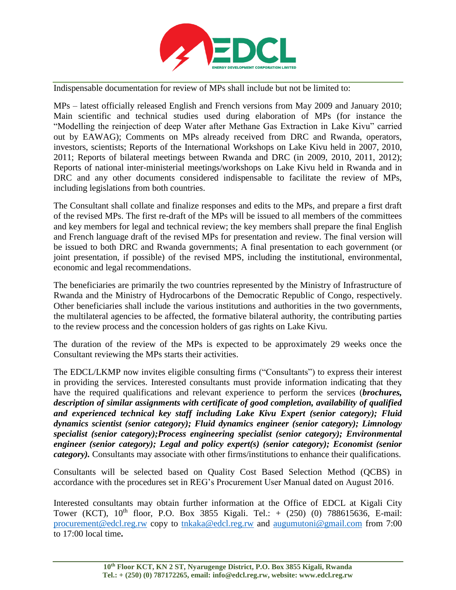

Indispensable documentation for review of MPs shall include but not be limited to:

MPs – latest officially released English and French versions from May 2009 and January 2010; Main scientific and technical studies used during elaboration of MPs (for instance the "Modelling the reinjection of deep Water after Methane Gas Extraction in Lake Kivu" carried out by EAWAG); Comments on MPs already received from DRC and Rwanda, operators, investors, scientists; Reports of the International Workshops on Lake Kivu held in 2007, 2010, 2011; Reports of bilateral meetings between Rwanda and DRC (in 2009, 2010, 2011, 2012); Reports of national inter-ministerial meetings/workshops on Lake Kivu held in Rwanda and in DRC and any other documents considered indispensable to facilitate the review of MPs, including legislations from both countries.

The Consultant shall collate and finalize responses and edits to the MPs, and prepare a first draft of the revised MPs. The first re-draft of the MPs will be issued to all members of the committees and key members for legal and technical review; the key members shall prepare the final English and French language draft of the revised MPs for presentation and review. The final version will be issued to both DRC and Rwanda governments; A final presentation to each government (or joint presentation, if possible) of the revised MPS, including the institutional, environmental, economic and legal recommendations.

The beneficiaries are primarily the two countries represented by the Ministry of Infrastructure of Rwanda and the Ministry of Hydrocarbons of the Democratic Republic of Congo, respectively. Other beneficiaries shall include the various institutions and authorities in the two governments, the multilateral agencies to be affected, the formative bilateral authority, the contributing parties to the review process and the concession holders of gas rights on Lake Kivu.

The duration of the review of the MPs is expected to be approximately 29 weeks once the Consultant reviewing the MPs starts their activities.

The EDCL/LKMP now invites eligible consulting firms ("Consultants") to express their interest in providing the services. Interested consultants must provide information indicating that they have the required qualifications and relevant experience to perform the services (*brochures, description of similar assignments with certificate of good completion, availability of qualified and experienced technical key staff including Lake Kivu Expert (senior category); Fluid dynamics scientist (senior category); Fluid dynamics engineer (senior category); Limnology specialist (senior category);Process engineering specialist (senior category); Environmental engineer (senior category); Legal and policy expert(s) (senior category); Economist (senior category).* Consultants may associate with other firms/institutions to enhance their qualifications.

Consultants will be selected based on Quality Cost Based Selection Method (QCBS) in accordance with the procedures set in REG's Procurement User Manual dated on August 2016.

Interested consultants may obtain further information at the Office of EDCL at Kigali City Tower (KCT),  $10^{th}$  floor, P.O. Box 3855 Kigali. Tel.: +  $(250)$  (0) 788615636, E-mail: [procurement@edcl.reg.rw](mailto:procurement@edcl.reg.rw) copy to [tnkaka@edcl.reg.rw](mailto:tnkaka@edcl.reg.rw) and [augumutoni@gmail.com](mailto:augumutoni@gmail.com) from 7:00 to 17:00 local time**.**